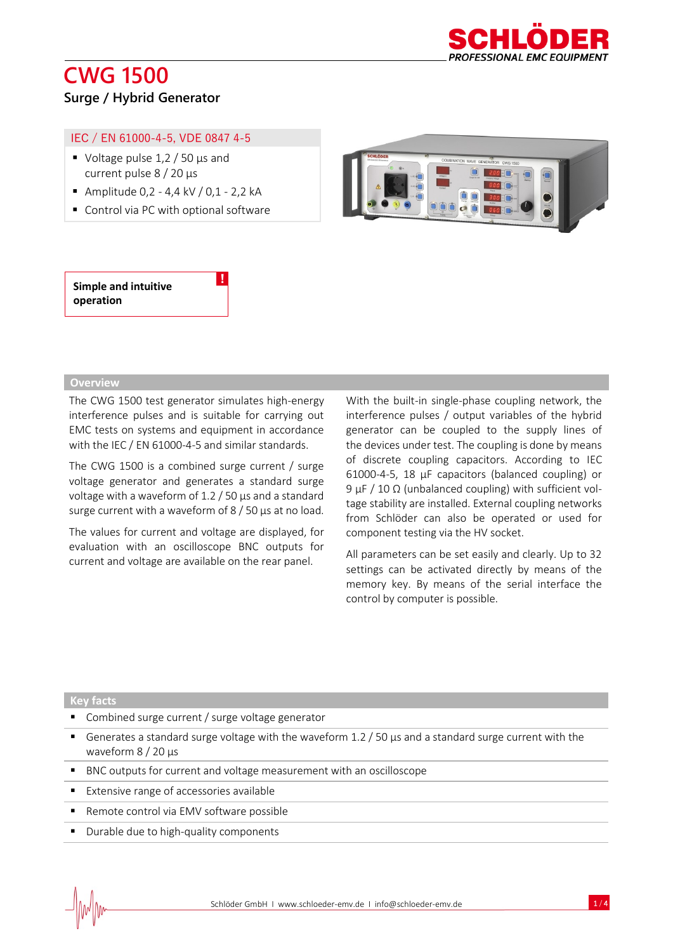

## **CWG 1500 Surge / Hybrid Generator**

### IEC / EN 61000-4-5, VDE 0847 4-5

- Voltage pulse  $1,2 / 50$  µs and current pulse 8 / 20 µs
- Amplitude 0,2 4,4 kV / 0,1 2,2 kA
- Control via PC with optional software



### **Simple and intuitive operation**

#### **Overview**

The CWG 1500 test generator simulates high-energy interference pulses and is suitable for carrying out EMC tests on systems and equipment in accordance with the IEC / EN 61000-4-5 and similar standards.

!

The CWG 1500 is a combined surge current / surge voltage generator and generates a standard surge voltage with a waveform of 1.2 / 50 µs and a standard surge current with a waveform of  $8/50 \mu s$  at no load.

The values for current and voltage are displayed, for evaluation with an oscilloscope BNC outputs for current and voltage are available on the rear panel.

With the built-in single-phase coupling network, the interference pulses / output variables of the hybrid generator can be coupled to the supply lines of the devices under test. The coupling is done by means of discrete coupling capacitors. According to IEC 61000-4-5, 18 µF capacitors (balanced coupling) or 9 µF / 10 Ω (unbalanced coupling) with sufficient voltage stability are installed. External coupling networks from Schlöder can also be operated or used for component testing via the HV socket.

All parameters can be set easily and clearly. Up to 32 settings can be activated directly by means of the memory key. By means of the serial interface the control by computer is possible.

#### **Key facts**

- Combined surge current / surge voltage generator
- **EX** Generates a standard surge voltage with the waveform  $1.2 / 50$   $\mu$ s and a standard surge current with the waveform 8 / 20 µs
- BNC outputs for current and voltage measurement with an oscilloscope
- Extensive range of accessories available
- Remote control via EMV software possible
- Durable due to high-quality components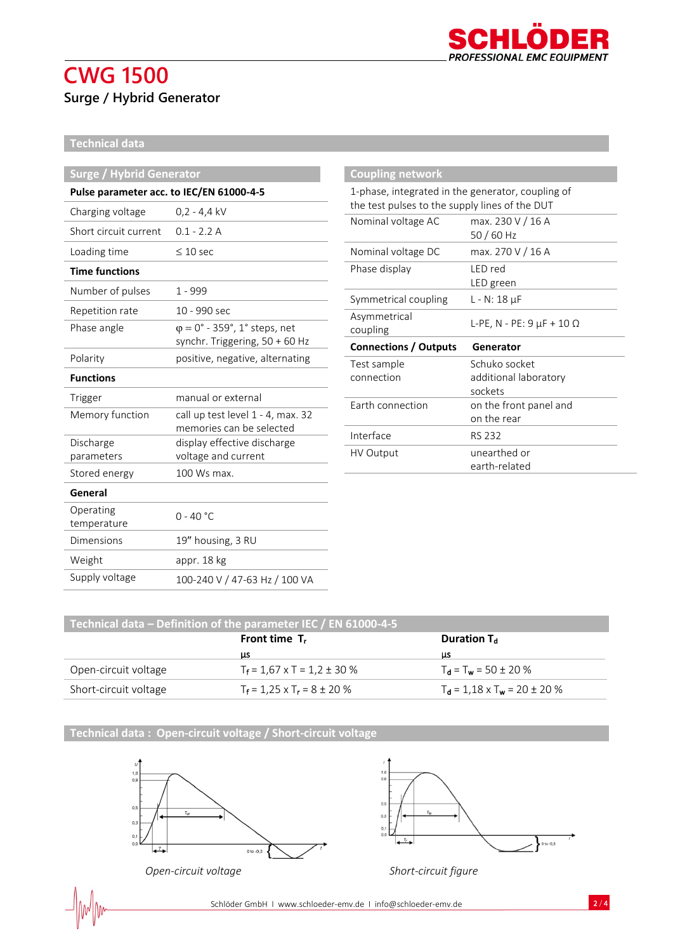#### n D PROFESSIONAL EMC EQUIPMENT

# **CWG 1500 Surge / Hybrid Generator**

### **Technical data**

| <b>Surge / Hybrid Generator</b>          |                                                         | <b>Coupling network</b>                                                                             |                                       |
|------------------------------------------|---------------------------------------------------------|-----------------------------------------------------------------------------------------------------|---------------------------------------|
| Pulse parameter acc. to IEC/EN 61000-4-5 |                                                         | 1-phase, integrated in the generator, coupling of<br>the test pulses to the supply lines of the DUT |                                       |
| Charging voltage                         | $0,2 - 4,4$ kV                                          |                                                                                                     |                                       |
| Short circuit current                    | $0.1 - 2.2$ A                                           | Nominal voltage AC                                                                                  | max. 230 V / 16 A<br>50 / 60 Hz       |
| Loading time                             | $\leq 10$ sec                                           | Nominal voltage DC                                                                                  | max. 270 V / 16 A                     |
| <b>Time functions</b>                    |                                                         | Phase display                                                                                       | LED red                               |
| Number of pulses                         | $1 - 999$                                               |                                                                                                     | LED green                             |
| Repetition rate                          | 10 - 990 sec                                            | Symmetrical coupling                                                                                | $L - N: 18 \mu F$                     |
| Phase angle                              | $\varphi = 0^\circ$ - 359°, 1° steps, net               | Asymmetrical<br>coupling                                                                            | L-PE, N - PE: $9 \mu$ F + 10 $\Omega$ |
|                                          | synchr. Triggering, 50 + 60 Hz                          | <b>Connections / Outputs</b>                                                                        | Generator                             |
| Polarity                                 | positive, negative, alternating                         | Test sample                                                                                         | Schuko socket                         |
| <b>Functions</b>                         |                                                         | connection                                                                                          | additional laboratory<br>sockets      |
| Trigger                                  | manual or external                                      | Earth connection                                                                                    | on the front panel and                |
| Memory function                          | call up test level 1 - 4, max. 32                       |                                                                                                     | on the rear                           |
| Discharge                                | memories can be selected<br>display effective discharge | Interface                                                                                           | <b>RS 232</b>                         |
| parameters                               | voltage and current                                     | HV Output                                                                                           | unearthed or                          |
| Stored energy                            | 100 Ws max.                                             |                                                                                                     | earth-related                         |
| General                                  |                                                         |                                                                                                     |                                       |
| Operating<br>temperature                 | $0 - 40 °C$                                             |                                                                                                     |                                       |
| <b>Dimensions</b>                        | 19" housing, 3 RU                                       |                                                                                                     |                                       |
| Weight                                   | appr. 18 kg                                             |                                                                                                     |                                       |
| Supply voltage                           | 100-240 V / 47-63 Hz / 100 VA                           |                                                                                                     |                                       |
|                                          |                                                         |                                                                                                     |                                       |

| Technical data – Definition of the parameter IEC / EN 61000-4-5 |                                       |                                        |  |  |
|-----------------------------------------------------------------|---------------------------------------|----------------------------------------|--|--|
|                                                                 | Front time $T_r$                      | Duration $T_d$                         |  |  |
|                                                                 | ЦS                                    | μs                                     |  |  |
| Open-circuit voltage                                            | $T_f$ = 1,67 x T = 1,2 ± 30 %         | $T_d = T_w = 50 \pm 20 \%$             |  |  |
| Short-circuit voltage                                           | $T_f = 1.25 \times T_r = 8 \pm 20 \%$ | $T_d = 1.18 \times T_w = 20 \pm 20 \%$ |  |  |

**Technical data : Open-circuit voltage / Short-circuit voltage**



 $1,0$ <br>0,9  $0,5$  $0,3$  $0,0$  $\overline{+}$  $\}$  o to -0,3

*Open-circuit voltage Short-circuit figure*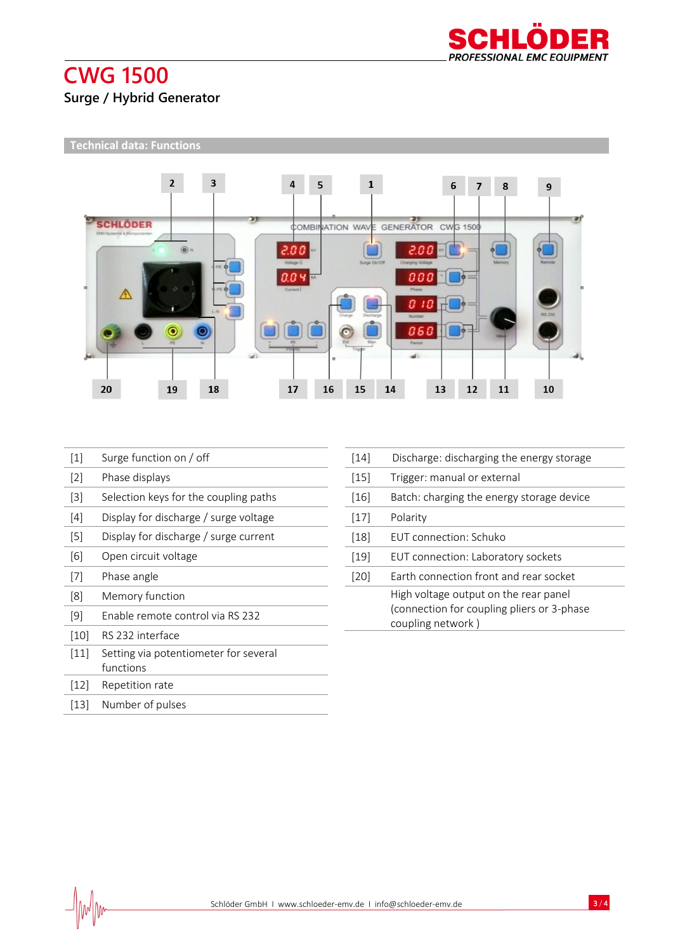

# **CWG 1500 Surge / Hybrid Generator**

### **Technical data: Functions**



| $[1]$              | Surge function on / off                            |
|--------------------|----------------------------------------------------|
| $[2]$              | Phase displays                                     |
| $[3]$              | Selection keys for the coupling paths              |
| [4]                | Display for discharge / surge voltage              |
| $[5]$              | Display for discharge / surge current              |
| [6]                | Open circuit voltage                               |
| $[7]$              | Phase angle                                        |
| [8]                | Memory function                                    |
| [9]                | Enable remote control via RS 232                   |
| [10]               | RS 232 interface                                   |
| $[11]$             | Setting via potentiometer for several<br>functions |
| $\lceil 12 \rceil$ | Repetition rate                                    |

| [15]   | Trigger: manual or external                                                                              |
|--------|----------------------------------------------------------------------------------------------------------|
| $[16]$ | Batch: charging the energy storage device                                                                |
| [17]   | Polarity                                                                                                 |
| [18]   | <b>FUT</b> connection: Schuko                                                                            |
| [19]   | EUT connection: Laboratory sockets                                                                       |
| [20]   | Earth connection front and rear socket                                                                   |
|        | High voltage output on the rear panel<br>(connection for coupling pliers or 3-phase<br>coupling network) |
|        |                                                                                                          |

[14] Discharge: discharging the energy storage

[13] Number of pulses